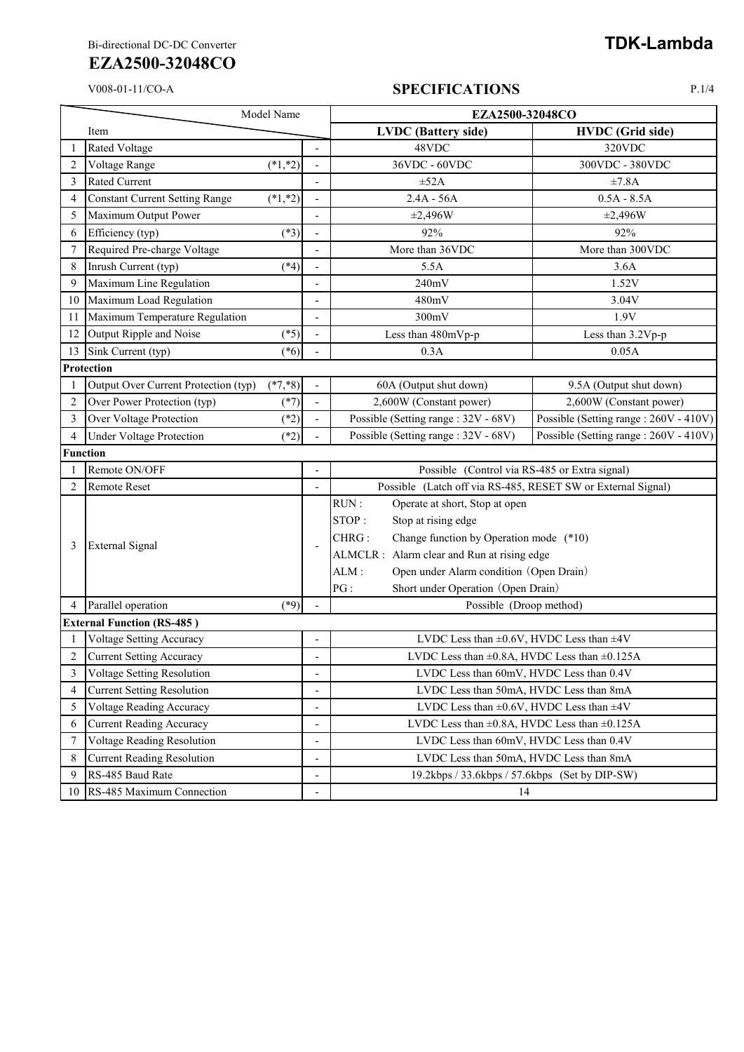# **EZA2500-32048CO**

#### V008-01-11/CO-A **SPECIFICATIONS** P.1/4

| Model Name     |                                       |            |                              | EZA2500-32048CO                                              |                                       |
|----------------|---------------------------------------|------------|------------------------------|--------------------------------------------------------------|---------------------------------------|
|                | Item                                  |            |                              | <b>LVDC</b> (Battery side)                                   | <b>HVDC</b> (Grid side)               |
|                | <b>Rated Voltage</b>                  |            |                              | 48VDC                                                        | 320VDC                                |
| $\overline{c}$ | Voltage Range                         | $(*1, *2)$ |                              | 36VDC - 60VDC                                                | 300VDC - 380VDC                       |
| 3              | <b>Rated Current</b>                  |            |                              | $\pm 52A$                                                    | ±7.8A                                 |
| 4              | <b>Constant Current Setting Range</b> | $(*1, *2)$ |                              | $2.4A - 56A$                                                 | $0.5A - 8.5A$                         |
| 5              | Maximum Output Power                  |            |                              | ±2,496W                                                      | $\pm 2,496W$                          |
| 6              | Efficiency (typ)                      | $(*3)$     |                              | 92%                                                          | 92%                                   |
| $\overline{7}$ | Required Pre-charge Voltage           |            |                              | More than 36VDC                                              | More than 300VDC                      |
| 8              | Inrush Current (typ)                  | $(*4)$     |                              | 5.5A                                                         | 3.6A                                  |
| 9              | Maximum Line Regulation               |            |                              | 240mV                                                        | 1.52V                                 |
| 10             | Maximum Load Regulation               |            |                              | 480mV                                                        | 3.04V                                 |
| 11             | Maximum Temperature Regulation        |            | $\qquad \qquad \blacksquare$ | 300mV                                                        | 1.9V                                  |
|                | 12 Output Ripple and Noise            | $(*5)$     | $\frac{1}{2}$                | Less than 480mVp-p                                           | Less than 3.2Vp-p                     |
| 13             | Sink Current (typ)                    | $(*6)$     |                              | 0.3A                                                         | 0.05A                                 |
|                | Protection                            |            |                              |                                                              |                                       |
|                | Output Over Current Protection (typ)  | $(*7, *8)$ |                              | 60A (Output shut down)                                       | 9.5A (Output shut down)               |
| 2              | Over Power Protection (typ)           | $(*7)$     |                              | 2,600W (Constant power)                                      | 2,600W (Constant power)               |
| 3              | Over Voltage Protection               | $(*2)$     |                              | Possible (Setting range: 32V - 68V)                          | Possible (Setting range: 260V - 410V) |
| 4              | <b>Under Voltage Protection</b>       | $(*2)$     |                              | Possible (Setting range: 32V - 68V)                          | Possible (Setting range: 260V - 410V) |
|                | <b>Function</b>                       |            |                              |                                                              |                                       |
|                | Remote ON/OFF                         |            |                              | Possible (Control via RS-485 or Extra signal)                |                                       |
| $\overline{2}$ | <b>Remote Reset</b>                   |            |                              | Possible (Latch off via RS-485, RESET SW or External Signal) |                                       |
|                | <b>External Signal</b>                |            |                              | RUN:<br>Operate at short, Stop at open                       |                                       |
|                |                                       |            |                              | STOP:<br>Stop at rising edge                                 |                                       |
|                |                                       |            |                              | Change function by Operation mode (*10)<br>CHRG:             |                                       |
| 3              |                                       |            | L,                           | ALMCLR : Alarm clear and Run at rising edge                  |                                       |
|                |                                       |            |                              | Open under Alarm condition (Open Drain)<br>ALM:              |                                       |
|                |                                       |            |                              | PG:<br>Short under Operation (Open Drain)                    |                                       |
| 4              | Parallel operation                    | $(*9)$     |                              | Possible (Droop method)                                      |                                       |
|                | <b>External Function (RS-485)</b>     |            |                              |                                                              |                                       |
|                | <b>Voltage Setting Accuracy</b>       |            | $\overline{\phantom{a}}$     | LVDC Less than $\pm 0.6V$ , HVDC Less than $\pm 4V$          |                                       |
| $\overline{2}$ | <b>Current Setting Accuracy</b>       |            |                              | LVDC Less than $\pm 0.8$ A, HVDC Less than $\pm 0.125$ A     |                                       |
| 3              | Voltage Setting Resolution            |            | $\overline{a}$               | LVDC Less than 60mV, HVDC Less than 0.4V                     |                                       |
| 4              | <b>Current Setting Resolution</b>     |            | $\overline{\phantom{a}}$     | LVDC Less than 50mA, HVDC Less than 8mA                      |                                       |
| 5              | <b>Voltage Reading Accuracy</b>       |            | $\overline{\phantom{a}}$     | LVDC Less than $\pm 0.6V$ , HVDC Less than $\pm 4V$          |                                       |
| 6              | <b>Current Reading Accuracy</b>       |            |                              | LVDC Less than $\pm 0.8$ A, HVDC Less than $\pm 0.125$ A     |                                       |
| 7              | Voltage Reading Resolution            |            | $\overline{\phantom{a}}$     | LVDC Less than 60mV, HVDC Less than 0.4V                     |                                       |
| 8              | <b>Current Reading Resolution</b>     |            | -                            | LVDC Less than 50mA, HVDC Less than 8mA                      |                                       |
| 9              | RS-485 Baud Rate                      |            | ٠                            | 19.2kbps / 33.6kbps / 57.6kbps (Set by DIP-SW)               |                                       |
| 10             | RS-485 Maximum Connection             |            |                              | 14                                                           |                                       |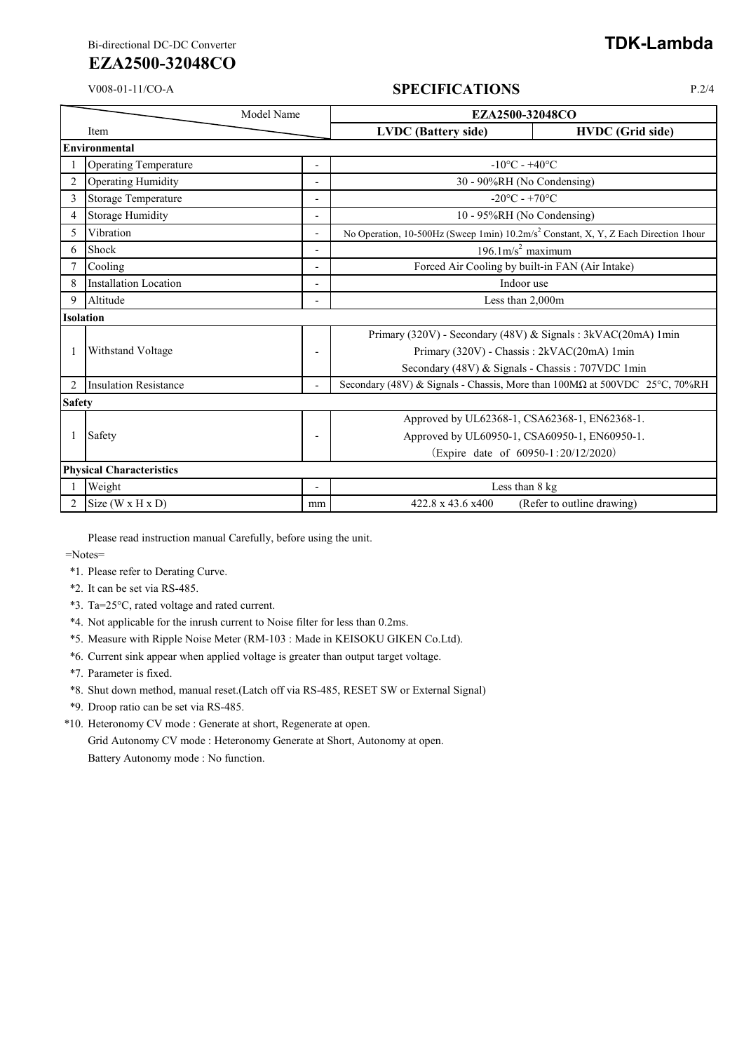Bi-directional DC-DC Converter **TDK-Lambda** 

## **EZA2500-32048CO**

### V008-01-11/CO-A **SPECIFICATIONS** P.2/4

|                  | Model Name                      |                          | EZA2500-32048CO                   |                                                                                                 |  |  |
|------------------|---------------------------------|--------------------------|-----------------------------------|-------------------------------------------------------------------------------------------------|--|--|
|                  | Item                            |                          | <b>LVDC</b> (Battery side)        | <b>HVDC</b> (Grid side)                                                                         |  |  |
|                  | Environmental                   |                          |                                   |                                                                                                 |  |  |
|                  | <b>Operating Temperature</b>    |                          | $-10^{\circ}$ C - $+40^{\circ}$ C |                                                                                                 |  |  |
| $\overline{c}$   | Operating Humidity              |                          | 30 - 90%RH (No Condensing)        |                                                                                                 |  |  |
| 3                | Storage Temperature             | $\blacksquare$           |                                   | $-20^{\circ}$ C - +70 $^{\circ}$ C                                                              |  |  |
| 4                | Storage Humidity                | $\overline{\phantom{0}}$ |                                   | 10 - 95%RH (No Condensing)                                                                      |  |  |
| 5                | Vibration                       | $\overline{\phantom{a}}$ |                                   | No Operation, 10-500Hz (Sweep 1min) 10.2m/s <sup>2</sup> Constant, X, Y, Z Each Direction 1hour |  |  |
| 6                | Shock                           | $\overline{\phantom{a}}$ |                                   | $196.1 \text{m/s}^2$ maximum                                                                    |  |  |
|                  | Cooling                         |                          |                                   | Forced Air Cooling by built-in FAN (Air Intake)                                                 |  |  |
| 8                | <b>Installation Location</b>    | $\overline{\phantom{0}}$ |                                   | Indoor use                                                                                      |  |  |
| 9                | Altitude                        | $\overline{a}$           |                                   | Less than 2,000m                                                                                |  |  |
| <b>Isolation</b> |                                 |                          |                                   |                                                                                                 |  |  |
|                  | Withstand Voltage               |                          |                                   | Primary (320V) - Secondary (48V) & Signals: 3kVAC(20mA) 1min                                    |  |  |
|                  |                                 | ٠                        |                                   | Primary (320V) - Chassis: 2kVAC(20mA) 1min                                                      |  |  |
|                  |                                 |                          |                                   | Secondary (48V) & Signals - Chassis: 707VDC 1min                                                |  |  |
| 2                | <b>Insulation Resistance</b>    |                          |                                   | Secondary (48V) & Signals - Chassis, More than 100MΩ at 500VDC 25°C, 70%RH                      |  |  |
|                  | <b>Safety</b>                   |                          |                                   |                                                                                                 |  |  |
|                  | Safety                          |                          |                                   | Approved by UL62368-1, CSA62368-1, EN62368-1.                                                   |  |  |
|                  |                                 | $\overline{\phantom{0}}$ |                                   | Approved by UL60950-1, CSA60950-1, EN60950-1.                                                   |  |  |
|                  |                                 |                          |                                   | (Expire date of 60950-1:20/12/2020)                                                             |  |  |
|                  | <b>Physical Characteristics</b> |                          |                                   |                                                                                                 |  |  |
|                  | Weight                          |                          |                                   | Less than 8 kg                                                                                  |  |  |
|                  | Size (W x H x D)                | mm                       | 422.8 x 43.6 x400                 | (Refer to outline drawing)                                                                      |  |  |

Please read instruction manual Carefully, before using the unit.

=Notes=

- \*1. Please refer to Derating Curve.
- \*2. It can be set via RS-485.
- \*3. Ta=25°C, rated voltage and rated current.
- \*4. Not applicable for the inrush current to Noise filter for less than 0.2ms.
- \*5. Measure with Ripple Noise Meter (RM-103 : Made in KEISOKU GIKEN Co.Ltd).
- \*6. Current sink appear when applied voltage is greater than output target voltage.
- \*7. Parameter is fixed.
- \*8. Shut down method, manual reset.(Latch off via RS-485, RESET SW or External Signal)
- \*9. Droop ratio can be set via RS-485.
- \*10. Heteronomy CV mode : Generate at short, Regenerate at open.

Grid Autonomy CV mode : Heteronomy Generate at Short, Autonomy at open. Battery Autonomy mode : No function.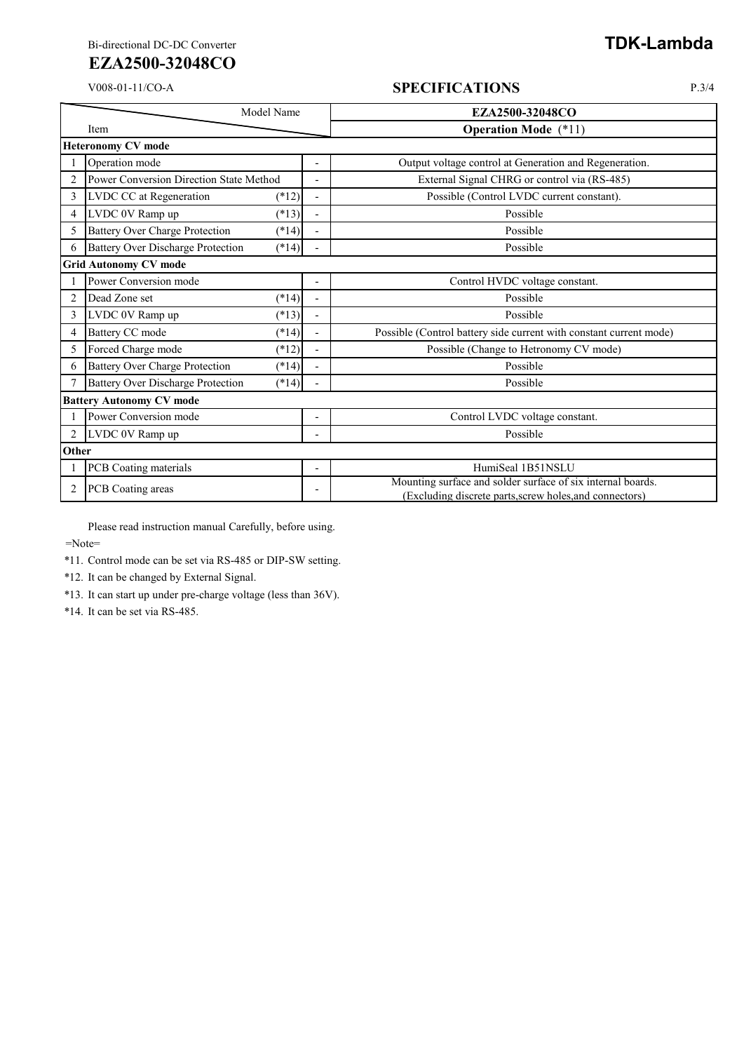# **EZA2500-32048CO**

#### V008-01-11/CO-A **SPECIFICATIONS** P.3/4

|                              | Model Name                                          |                          | EZA2500-32048CO                                                                                                        |  |  |  |
|------------------------------|-----------------------------------------------------|--------------------------|------------------------------------------------------------------------------------------------------------------------|--|--|--|
|                              | Item                                                |                          | <b>Operation Mode</b> (*11)                                                                                            |  |  |  |
| <b>Heteronomy CV mode</b>    |                                                     |                          |                                                                                                                        |  |  |  |
|                              | Operation mode                                      | $\overline{\phantom{a}}$ | Output voltage control at Generation and Regeneration.                                                                 |  |  |  |
| $\overline{2}$               | Power Conversion Direction State Method             |                          | External Signal CHRG or control via (RS-485)                                                                           |  |  |  |
| 3                            | LVDC CC at Regeneration<br>$(*12)$                  | ÷,                       | Possible (Control LVDC current constant).                                                                              |  |  |  |
| $\overline{4}$               | LVDC 0V Ramp up<br>$(*13)$                          |                          | Possible                                                                                                               |  |  |  |
| 5                            | <b>Battery Over Charge Protection</b><br>$(*14)$    | $\overline{a}$           | Possible                                                                                                               |  |  |  |
| 6                            | <b>Battery Over Discharge Protection</b><br>$(*14)$ |                          | Possible                                                                                                               |  |  |  |
| <b>Grid Autonomy CV mode</b> |                                                     |                          |                                                                                                                        |  |  |  |
|                              | Power Conversion mode                               |                          | Control HVDC voltage constant.                                                                                         |  |  |  |
| $\overline{c}$               | Dead Zone set<br>$(*14)$                            |                          | Possible                                                                                                               |  |  |  |
| 3                            | LVDC 0V Ramp up<br>$(*13)$                          |                          | Possible                                                                                                               |  |  |  |
| $\overline{4}$               | <b>Battery CC</b> mode<br>$(*14)$                   | $\overline{a}$           | Possible (Control battery side current with constant current mode)                                                     |  |  |  |
| 5                            | Forced Charge mode<br>$(*12)$                       |                          | Possible (Change to Hetronomy CV mode)                                                                                 |  |  |  |
| 6                            | <b>Battery Over Charge Protection</b><br>$(*14)$    |                          | Possible                                                                                                               |  |  |  |
|                              | <b>Battery Over Discharge Protection</b><br>$(*14)$ |                          | Possible                                                                                                               |  |  |  |
|                              | <b>Battery Autonomy CV mode</b>                     |                          |                                                                                                                        |  |  |  |
|                              | Power Conversion mode                               | $\overline{\phantom{0}}$ | Control LVDC voltage constant.                                                                                         |  |  |  |
| $\overline{c}$               | LVDC 0V Ramp up                                     | $\overline{a}$           | Possible                                                                                                               |  |  |  |
|                              | Other                                               |                          |                                                                                                                        |  |  |  |
|                              | PCB Coating materials                               | $\overline{\phantom{0}}$ | HumiSeal 1B51NSLU                                                                                                      |  |  |  |
| $\overline{2}$               | PCB Coating areas                                   |                          | Mounting surface and solder surface of six internal boards.<br>(Excluding discrete parts, screw holes, and connectors) |  |  |  |

Please read instruction manual Carefully, before using.

=Note=

\*11. Control mode can be set via RS-485 or DIP-SW setting.

\*12. It can be changed by External Signal.

\*13. It can start up under pre-charge voltage (less than 36V).

\*14. It can be set via RS-485.